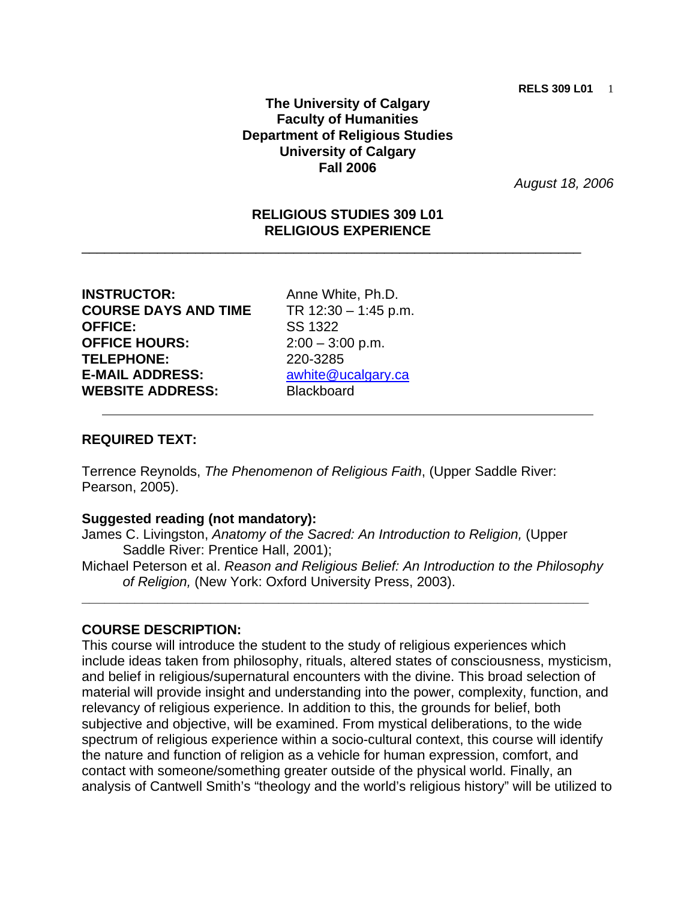## **The University of Calgary Faculty of Humanities Department of Religious Studies University of Calgary Fall 2006**

*August 18, 2006*

## **RELIGIOUS STUDIES 309 L01 RELIGIOUS EXPERIENCE**

\_\_\_\_\_\_\_\_\_\_\_\_\_\_\_\_\_\_\_\_\_\_\_\_\_\_\_\_\_\_\_\_\_\_\_\_\_\_\_\_\_\_\_\_\_\_\_\_\_\_\_\_\_\_\_\_\_\_\_\_\_\_\_\_\_\_

**INSTRUCTOR:** Anne White, Ph.D. **COURSE DAYS AND TIME** TR 12:30 – 1:45 p.m. **OFFICE:** SS 1322 **OFFICE HOURS:** 2:00 – 3:00 p.m. **TELEPHONE:** 220-3285 **E-MAIL ADDRESS: awhite@ucalgary.ca WEBSITE ADDRESS:** Blackboard

## **REQUIRED TEXT:**

Terrence Reynolds, *The Phenomenon of Religious Faith*, (Upper Saddle River: Pearson, 2005).

#### **Suggested reading (not mandatory):**

James C. Livingston, *Anatomy of the Sacred: An Introduction to Religion,* (Upper Saddle River: Prentice Hall, 2001);

Michael Peterson et al. *Reason and Religious Belief: An Introduction to the Philosophy of Religion,* (New York: Oxford University Press, 2003).

**\_\_\_\_\_\_\_\_\_\_\_\_\_\_\_\_\_\_\_\_\_\_\_\_\_\_\_\_\_\_\_\_\_\_\_\_\_\_\_\_\_\_\_\_\_\_\_\_\_\_\_\_\_\_\_\_\_\_\_\_\_\_\_\_\_\_\_** 

#### **COURSE DESCRIPTION:**

This course will introduce the student to the study of religious experiences which include ideas taken from philosophy, rituals, altered states of consciousness, mysticism, and belief in religious/supernatural encounters with the divine. This broad selection of material will provide insight and understanding into the power, complexity, function, and relevancy of religious experience. In addition to this, the grounds for belief, both subjective and objective, will be examined. From mystical deliberations, to the wide spectrum of religious experience within a socio-cultural context, this course will identify the nature and function of religion as a vehicle for human expression, comfort, and contact with someone/something greater outside of the physical world. Finally, an analysis of Cantwell Smith's "theology and the world's religious history" will be utilized to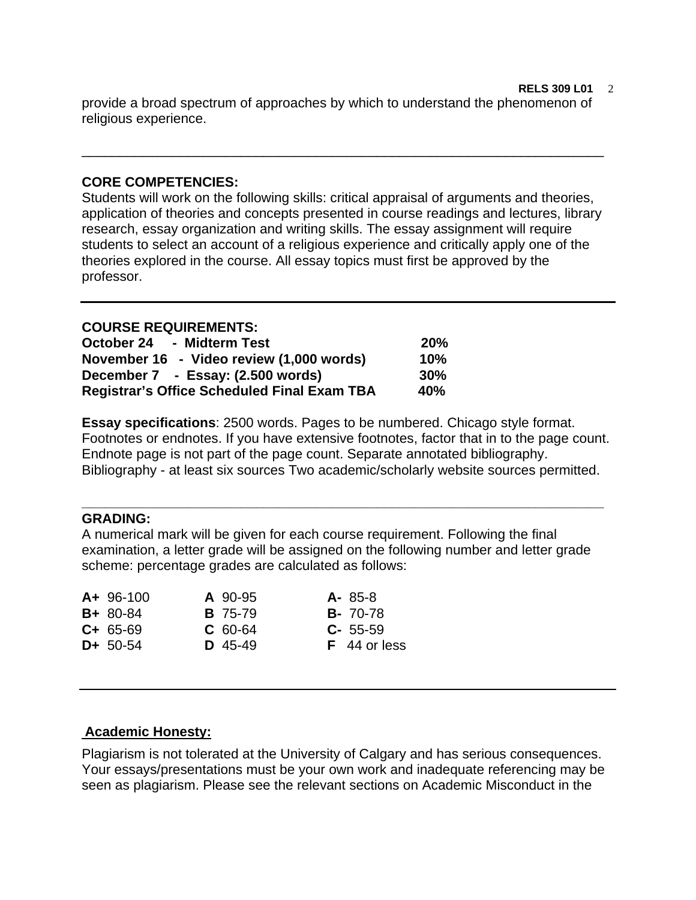**RELS 309 L01** 2 provide a broad spectrum of approaches by which to understand the phenomenon of religious experience.

\_\_\_\_\_\_\_\_\_\_\_\_\_\_\_\_\_\_\_\_\_\_\_\_\_\_\_\_\_\_\_\_\_\_\_\_\_\_\_\_\_\_\_\_\_\_\_\_\_\_\_\_\_\_\_\_\_\_\_\_\_\_\_\_\_\_\_\_\_

## **CORE COMPETENCIES:**

Students will work on the following skills: critical appraisal of arguments and theories, application of theories and concepts presented in course readings and lectures, library research, essay organization and writing skills. The essay assignment will require students to select an account of a religious experience and critically apply one of the theories explored in the course. All essay topics must first be approved by the professor.

## **COURSE REQUIREMENTS:**

| October 24 - Midterm Test                          | 20%    |
|----------------------------------------------------|--------|
| November 16 - Video review (1,000 words)           | 10%    |
| December 7 - Essay: (2.500 words)                  | $30\%$ |
| <b>Registrar's Office Scheduled Final Exam TBA</b> | 40%    |

**Essay specifications**: 2500 words. Pages to be numbered. Chicago style format. Footnotes or endnotes. If you have extensive footnotes, factor that in to the page count. Endnote page is not part of the page count. Separate annotated bibliography. Bibliography - at least six sources Two academic/scholarly website sources permitted.

**\_\_\_\_\_\_\_\_\_\_\_\_\_\_\_\_\_\_\_\_\_\_\_\_\_\_\_\_\_\_\_\_\_\_\_\_\_\_\_\_\_\_\_\_\_\_\_\_\_\_\_\_\_\_\_\_\_\_\_\_\_\_\_\_\_\_\_\_\_**

### **GRADING:**

A numerical mark will be given for each course requirement. Following the final examination, a letter grade will be assigned on the following number and letter grade scheme: percentage grades are calculated as follows:

| $A+96-100$    |  |                                                     | $A - 85-8$       |
|---------------|--|-----------------------------------------------------|------------------|
| $B + 80 - 84$ |  |                                                     | <b>B</b> - 70-78 |
| $C + 65 - 69$ |  |                                                     | $C - 55 - 59$    |
| $D+ 50-54$    |  |                                                     | $F$ 44 or less   |
|               |  | A 90-95<br><b>B</b> 75-79<br>$C$ 60-64<br>$D$ 45-49 |                  |

## **Academic Honesty:**

Plagiarism is not tolerated at the University of Calgary and has serious consequences. Your essays/presentations must be your own work and inadequate referencing may be seen as plagiarism. Please see the relevant sections on Academic Misconduct in the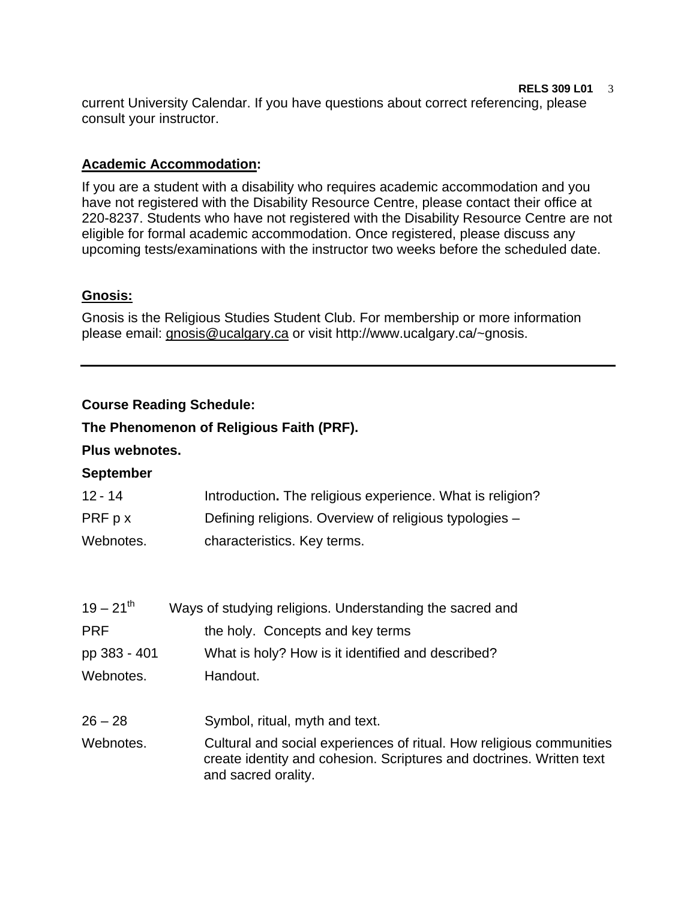#### **RELS 309 L01** 3

current University Calendar. If you have questions about correct referencing, please consult your instructor.

## **Academic Accommodation:**

If you are a student with a disability who requires academic accommodation and you have not registered with the Disability Resource Centre, please contact their office at 220-8237. Students who have not registered with the Disability Resource Centre are not eligible for formal academic accommodation. Once registered, please discuss any upcoming tests/examinations with the instructor two weeks before the scheduled date.

# **Gnosis:**

Gnosis is the Religious Studies Student Club. For membership or more information please email: gnosis@ucalgary.ca or visit http://www.ucalgary.ca/~gnosis.

# **Course Reading Schedule:**

# **The Phenomenon of Religious Faith (PRF).**

# **Plus webnotes.**

## **September**

| $12 - 14$ | Introduction. The religious experience. What is religion? |
|-----------|-----------------------------------------------------------|
| PRF p x   | Defining religions. Overview of religious typologies -    |
| Webnotes. | characteristics. Key terms.                               |

| $19 - 21^{th}$ | Ways of studying religions. Understanding the sacred and                                                                                                            |
|----------------|---------------------------------------------------------------------------------------------------------------------------------------------------------------------|
| <b>PRF</b>     | the holy. Concepts and key terms                                                                                                                                    |
| pp 383 - 401   | What is holy? How is it identified and described?                                                                                                                   |
| Webnotes.      | Handout.                                                                                                                                                            |
| $26 - 28$      | Symbol, ritual, myth and text.                                                                                                                                      |
| Webnotes.      | Cultural and social experiences of ritual. How religious communities<br>create identity and cohesion. Scriptures and doctrines. Written text<br>and sacred orality. |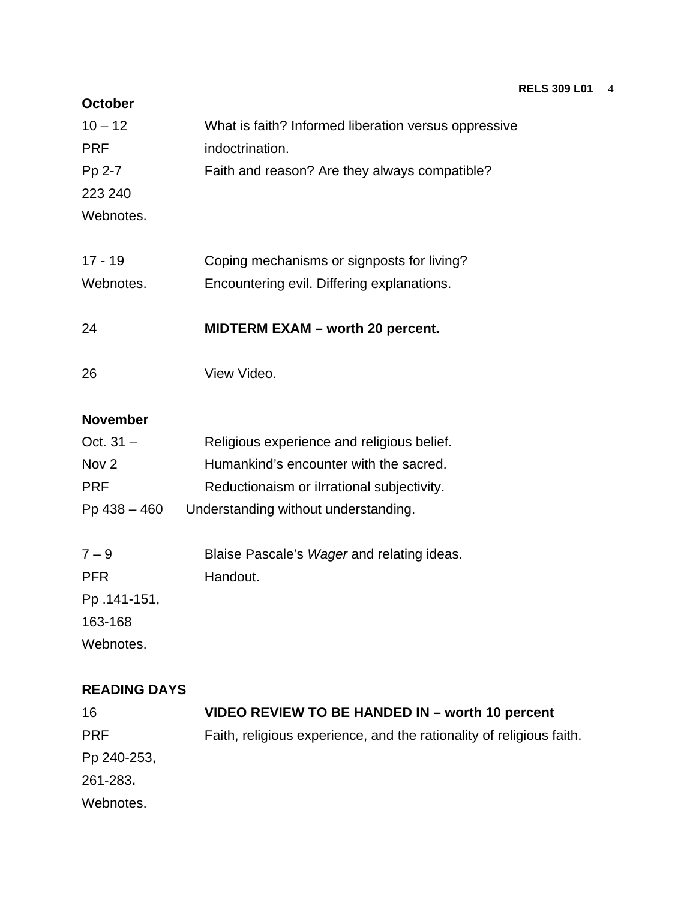#### **RELS 309 L01** 4

### **October**

| $10 - 12$  | What is faith? Informed liberation versus oppressive |
|------------|------------------------------------------------------|
| <b>PRF</b> | indoctrination.                                      |
| Pp 2-7     | Faith and reason? Are they always compatible?        |
| 223 240    |                                                      |
| Webnotes.  |                                                      |
|            |                                                      |

17 - 19 Coping mechanisms or signposts for living? Webnotes. **Encountering evil. Differing explanations.** 

24 **MIDTERM EXAM – worth 20 percent.**

26 View Video.

# **November**

| Religious experience and religious belief. |
|--------------------------------------------|
| Humankind's encounter with the sacred.     |
| Reductionaism or ilrrational subjectivity. |
| Understanding without understanding.       |
|                                            |
| Blaise Pascale's Wager and relating ideas. |
| Handout.                                   |
|                                            |
|                                            |
|                                            |

Webnotes.

## **READING DAYS**

| VIDEO REVIEW TO BE HANDED IN – worth 10 percent                      |
|----------------------------------------------------------------------|
| Faith, religious experience, and the rationality of religious faith. |
|                                                                      |
|                                                                      |
|                                                                      |
|                                                                      |